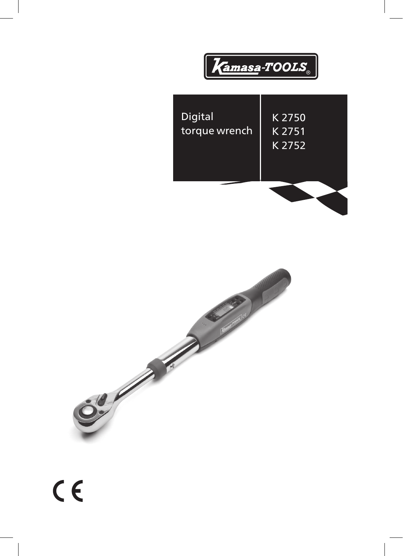



 $C \in$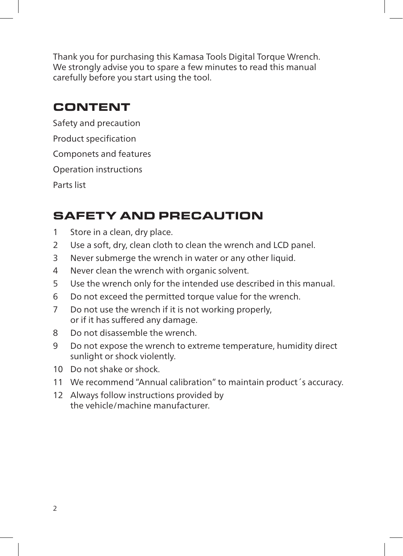Thank you for purchasing this Kamasa Tools Digital Torque Wrench. We strongly advise you to spare a few minutes to read this manual carefully before you start using the tool.

## CONTENT

Safety and precaution Product specification Componets and features Operation instructions Parts list

# SAFETY AND PRECAUTION

- 1 Store in a clean, dry place.
- 2 Use a soft, dry, clean cloth to clean the wrench and LCD panel.
- 3 Never submerge the wrench in water or any other liquid.
- 4 Never clean the wrench with organic solvent.
- 5 Use the wrench only for the intended use described in this manual.
- 6 Do not exceed the permitted torque value for the wrench.
- 7 Do not use the wrench if it is not working properly, or if it has suffered any damage.
- 8 Do not disassemble the wrench.
- 9 Do not expose the wrench to extreme temperature, humidity direct sunlight or shock violently.
- 10 Do not shake or shock.
- 11 We recommend "Annual calibration" to maintain product´s accuracy.
- 12 Always follow instructions provided by the vehicle/machine manufacturer.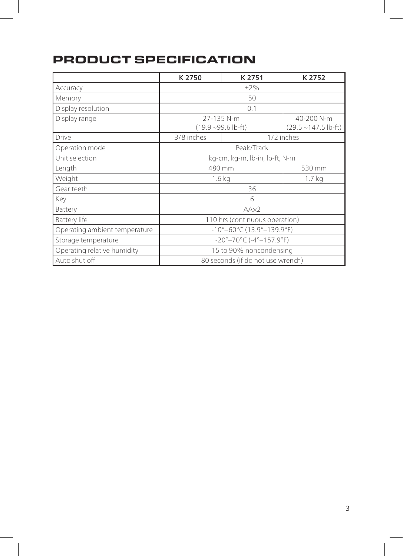## PRODUCT SPECIFICATION

|                               | K 2750                                                       | K 2751     | K 2752                                |
|-------------------------------|--------------------------------------------------------------|------------|---------------------------------------|
| Accuracy                      | $\pm 2\%$                                                    |            |                                       |
| Memory                        | 50                                                           |            |                                       |
| Display resolution            | 0.1                                                          |            |                                       |
| Display range                 | 27-135 N-m<br>$(19.9 - 99.6$ lb-ft)                          |            | 40-200 N-m<br>$(29.5 - 147.5)$ lb-ft) |
| <b>Drive</b>                  | 3/8 inches                                                   | 1/2 inches |                                       |
| Operation mode                | Peak/Track                                                   |            |                                       |
| Unit selection                | kg-cm, kg-m, lb-in, lb-ft, N-m                               |            |                                       |
| Length                        | 480 mm                                                       |            | 530 mm                                |
| Weight                        | 1.6 <sub>kq</sub>                                            |            | 1.7 <sub>kq</sub>                     |
| Gear teeth                    | 36                                                           |            |                                       |
| Key                           | 6                                                            |            |                                       |
| Battery                       | A A x 2                                                      |            |                                       |
| Battery life                  | 110 hrs (continuous operation)                               |            |                                       |
| Operating ambient temperature | $-10^{\circ}-60^{\circ}$ C (13.9 $^{\circ}-139.9^{\circ}$ F) |            |                                       |
| Storage temperature           | -20°-70°C (-4°-157.9°F)                                      |            |                                       |
| Operating relative humidity   | 15 to 90% noncondensing                                      |            |                                       |
| Auto shut off                 | 80 seconds (if do not use wrench)                            |            |                                       |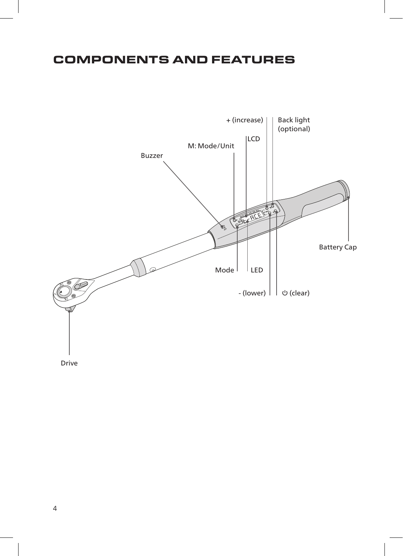## COMPONENTS AND FEATURES



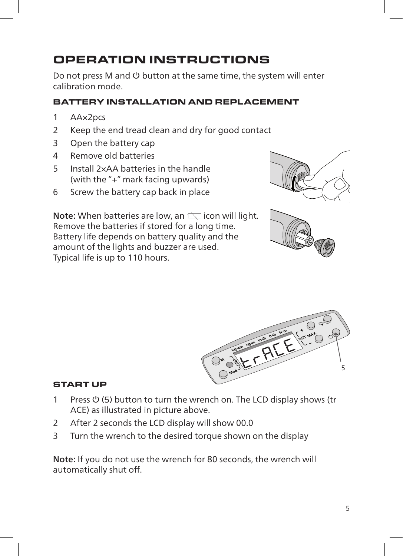# OPERATION INSTRUCTIONS

Do not press M and  $\theta$  button at the same time, the system will enter calibration mode.

#### BATTERY INSTALLATION AND REPLACEMENT

- 1 AA×2pcs
- 2 Keep the end tread clean and dry for good contact
- 3 Open the battery cap
- 4 Remove old batteries
- 5 Install 2×AA batteries in the handle (with the "+" mark facing upwards)
- 6 Screw the battery cap back in place

Note: When batteries are low, an  $\sum$  icon will light. Remove the batteries if stored for a long time. Battery life depends on battery quality and the amount of the lights and buzzer are used. Typical life is up to 110 hours.







#### START UP

- 1 Press  $\psi$  (5) button to turn the wrench on. The LCD display shows (tr ACE) as illustrated in picture above.
- 2 After 2 seconds the LCD display will show 00.0
- 3 Turn the wrench to the desired torque shown on the display

Note: If you do not use the wrench for 80 seconds, the wrench will automatically shut off.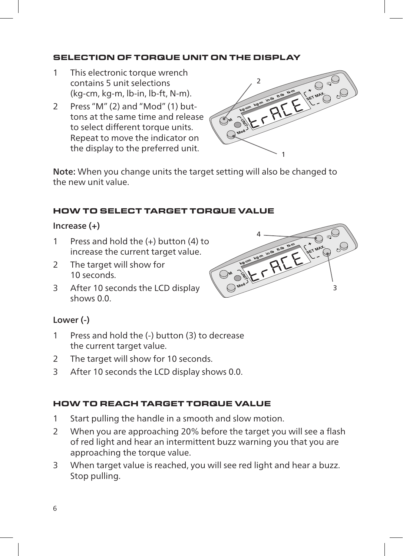#### SELECTION OF TORQUE UNIT ON THE DISPLAY

- 1 This electronic torque wrench contains 5 unit selections (kg-cm, kg-m, lb-in, lb-ft, N-m).
- 2 Press "M" (2) and "Mod" (1) buttons at the same time and release to select different torque units. Repeat to move the indicator on the display to the preferred unit.



Note: When you change units the target setting will also be changed to the new unit value.

#### HOW TO SELECT TARGET TORQUE VALUE

#### Increase (+)

- 1 Press and hold the (+) button (4) to increase the current target value.
- 2 The target will show for 10 seconds.
- 3 After 10 seconds the LCD display shows 0.0.

# 4  $\sum_{n=1}^{\infty} \frac{1}{n^2} \sum_{k=1}^{\infty} \frac{1}{k^2} \sum_{k=1}^{\infty} \frac{1}{k^2} \sum_{k=1}^{\infty} \frac{1}{k^2} \sum_{k=1}^{\infty} \frac{1}{k^2} \sum_{k=1}^{\infty} \frac{1}{k^2} \sum_{k=1}^{\infty} \frac{1}{k^2} \sum_{k=1}^{\infty} \frac{1}{k^2} \sum_{k=1}^{\infty} \frac{1}{k^2} \sum_{k=1}^{\infty} \frac{1}{k^2} \sum_{k=1}^{\in$ 3

#### Lower (-)

- 1 Press and hold the (-) button (3) to decrease the current target value.
- 2 The target will show for 10 seconds.
- 3 After 10 seconds the LCD display shows 0.0.

#### HOW TO REACH TARGET TORQUE VALUE

- 1 Start pulling the handle in a smooth and slow motion.
- 2 When you are approaching 20% before the target you will see a flash of red light and hear an intermittent buzz warning you that you are approaching the torque value.
- 3 When target value is reached, you will see red light and hear a buzz. Stop pulling.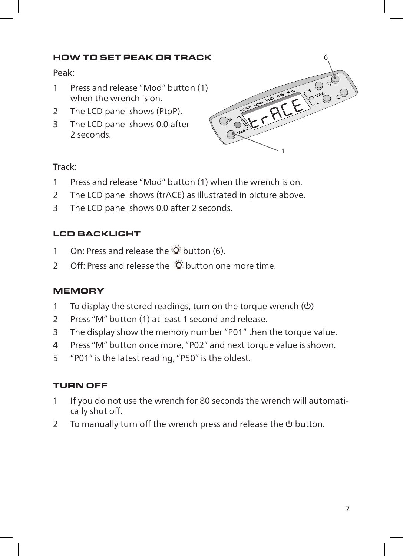#### HOW TO SET PEAK OR TRACK

#### Peak:

- 1 Press and release "Mod" button (1) when the wrench is on.
- 2 The LCD panel shows (PtoP).
- 3 The LCD panel shows 0.0 after 2 seconds.



#### Track:

- 1 Press and release "Mod" button (1) when the wrench is on.
- 2 The LCD panel shows (trACE) as illustrated in picture above.
- 3 The LCD panel shows 0.0 after 2 seconds.

#### LCD BACKLIGHT

- 1 On: Press and release the  $\ddot{\Phi}$  button (6).
- 2 Off: Press and release the  $\ddot{\ddot{\alpha}}$  button one more time.

#### **MEMORY**

- 1 To display the stored readings, turn on the torque wrench  $(\cup)$
- 2 Press "M" button (1) at least 1 second and release.
- 3 The display show the memory number "P01" then the torque value.
- 4 Press "M" button once more, "P02" and next torque value is shown.
- 5 "P01" is the latest reading, "P50" is the oldest.

#### TURN OFF

- 1 If you do not use the wrench for 80 seconds the wrench will automatically shut off.
- 2 To manually turn off the wrench press and release the  $\theta$  button.